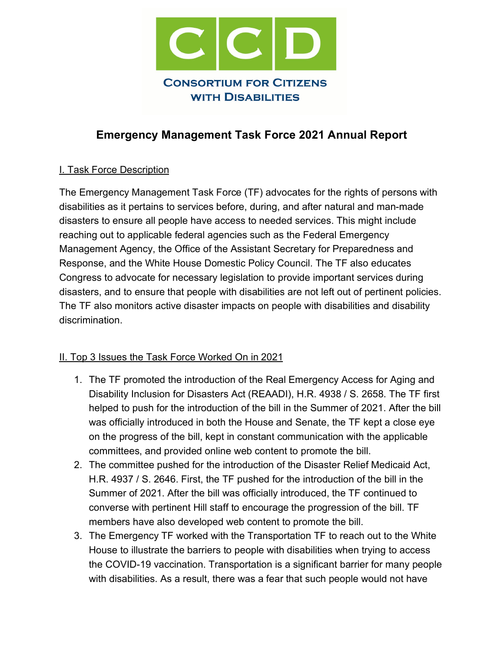

# **Emergency Management Task Force 2021 Annual Report**

## I. Task Force Description

The Emergency Management Task Force (TF) advocates for the rights of persons with disabilities as it pertains to services before, during, and after natural and man-made disasters to ensure all people have access to needed services. This might include reaching out to applicable federal agencies such as the Federal Emergency Management Agency, the Office of the Assistant Secretary for Preparedness and Response, and the White House Domestic Policy Council. The TF also educates Congress to advocate for necessary legislation to provide important services during disasters, and to ensure that people with disabilities are not left out of pertinent policies. The TF also monitors active disaster impacts on people with disabilities and disability discrimination.

## II. Top 3 Issues the Task Force Worked On in 2021

- 1. The TF promoted the introduction of the Real Emergency Access for Aging and Disability Inclusion for Disasters Act (REAADI), H.R. 4938 / S. 2658. The TF first helped to push for the introduction of the bill in the Summer of 2021. After the bill was officially introduced in both the House and Senate, the TF kept a close eye on the progress of the bill, kept in constant communication with the applicable committees, and provided online web content to promote the bill.
- 2. The committee pushed for the introduction of the Disaster Relief Medicaid Act, H.R. 4937 / S. 2646. First, the TF pushed for the introduction of the bill in the Summer of 2021. After the bill was officially introduced, the TF continued to converse with pertinent Hill staff to encourage the progression of the bill. TF members have also developed web content to promote the bill.
- 3. The Emergency TF worked with the Transportation TF to reach out to the White House to illustrate the barriers to people with disabilities when trying to access the COVID-19 vaccination. Transportation is a significant barrier for many people with disabilities. As a result, there was a fear that such people would not have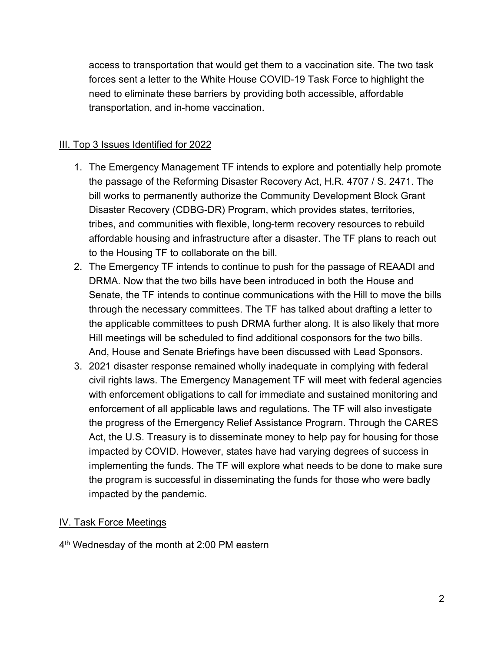access to transportation that would get them to a vaccination site. The two task forces sent a letter to the White House COVID-19 Task Force to highlight the need to eliminate these barriers by providing both accessible, affordable transportation, and in-home vaccination.

#### III. Top 3 Issues Identified for 2022

- 1. The Emergency Management TF intends to explore and potentially help promote the passage of the Reforming Disaster Recovery Act, H.R. 4707 / S. 2471. The bill works to permanently authorize the Community Development Block Grant Disaster Recovery (CDBG-DR) Program, which provides states, territories, tribes, and communities with flexible, long-term recovery resources to rebuild affordable housing and infrastructure after a disaster. The TF plans to reach out to the Housing TF to collaborate on the bill.
- 2. The Emergency TF intends to continue to push for the passage of REAADI and DRMA. Now that the two bills have been introduced in both the House and Senate, the TF intends to continue communications with the Hill to move the bills through the necessary committees. The TF has talked about drafting a letter to the applicable committees to push DRMA further along. It is also likely that more Hill meetings will be scheduled to find additional cosponsors for the two bills. And, House and Senate Briefings have been discussed with Lead Sponsors.
- 3. 2021 disaster response remained wholly inadequate in complying with federal civil rights laws. The Emergency Management TF will meet with federal agencies with enforcement obligations to call for immediate and sustained monitoring and enforcement of all applicable laws and regulations. The TF will also investigate the progress of the Emergency Relief Assistance Program. Through the CARES Act, the U.S. Treasury is to disseminate money to help pay for housing for those impacted by COVID. However, states have had varying degrees of success in implementing the funds. The TF will explore what needs to be done to make sure the program is successful in disseminating the funds for those who were badly impacted by the pandemic.

#### IV. Task Force Meetings

4<sup>th</sup> Wednesday of the month at 2:00 PM eastern